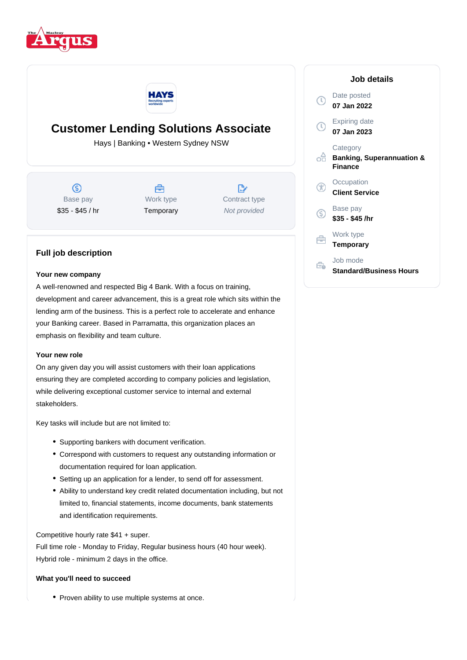



# **Customer Lending Solutions Associate**

Hays | Banking • Western Sydney NSW

 $\circledS$ Base pay \$35 - \$45 / hr



 $\mathbb{R}^*$ Contract type Not provided

## **Full job description**

#### **Your new company**

A well-renowned and respected Big 4 Bank. With a focus on training, development and career advancement, this is a great role which sits within the lending arm of the business. This is a perfect role to accelerate and enhance your Banking career. Based in Parramatta, this organization places an emphasis on flexibility and team culture.

#### **Your new role**

On any given day you will assist customers with their loan applications ensuring they are completed according to company policies and legislation, while delivering exceptional customer service to internal and external stakeholders.

Key tasks will include but are not limited to:

- Supporting bankers with document verification.
- Correspond with customers to request any outstanding information or documentation required for loan application.
- Setting up an application for a lender, to send off for assessment.
- Ability to understand key credit related documentation including, but not limited to, financial statements, income documents, bank statements and identification requirements.

Competitive hourly rate \$41 + super.

Full time role - Monday to Friday, Regular business hours (40 hour week). Hybrid role - minimum 2 days in the office.

#### **What you'll need to succeed**

• Proven ability to use multiple systems at once.

|    | Job details                                                        |
|----|--------------------------------------------------------------------|
|    | Date posted<br>07 Jan 2022                                         |
|    | <b>Expiring date</b><br>07 Jan 2023                                |
|    | Category<br><b>Banking, Superannuation &amp;</b><br><b>Finance</b> |
|    | Occupation<br><b>Client Service</b>                                |
| G. | Base pay<br>\$35 - \$45 /hr                                        |
|    | Work type<br>Temporary                                             |
|    | Job mode<br><b>Standard/Business Hours</b>                         |